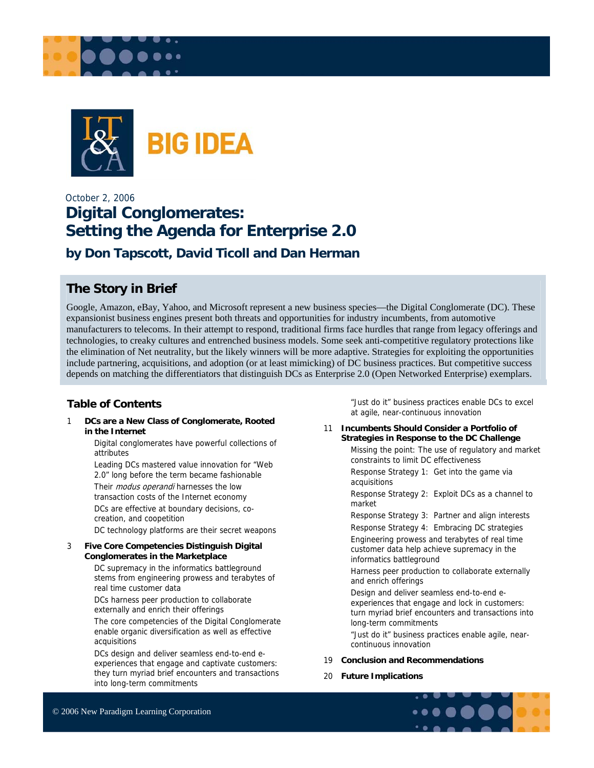



## October 2, 2006 **Digital Conglomerates: Setting the Agenda for Enterprise 2.0**

**by Don Tapscott, David Ticoll and Dan Herman** 

### **The Story in Brief**

Google, Amazon, eBay, Yahoo, and Microsoft represent a new business species—the Digital Conglomerate (DC). These expansionist business engines present both threats and opportunities for industry incumbents, from automotive manufacturers to telecoms. In their attempt to respond, traditional firms face hurdles that range from legacy offerings and technologies, to creaky cultures and entrenched business models. Some seek anti-competitive regulatory protections like the elimination of Net neutrality, but the likely winners will be more adaptive. Strategies for exploiting the opportunities include partnering, acquisitions, and adoption (or at least mimicking) of DC business practices. But competitive success depends on matching the differentiators that distinguish DCs as Enterprise 2.0 (Open Networked Enterprise) exemplars.

#### **Table of Contents**

1 **DCs are a New Class of Conglomerate, Rooted in the Internet** 

> Digital conglomerates have powerful collections of attributes

Leading DCs mastered value innovation for "Web 2.0" long before the term became fashionable Their *modus operandi* harnesses the low transaction costs of the Internet economy DCs are effective at boundary decisions, cocreation, and coopetition

DC technology platforms are their secret weapons

#### 3 **Five Core Competencies Distinguish Digital Conglomerates in the Marketplace**

DC supremacy in the informatics battleground stems from engineering prowess and terabytes of real time customer data

DCs harness peer production to collaborate externally and enrich their offerings

The core competencies of the Digital Conglomerate enable organic diversification as well as effective acquisitions

DCs design and deliver seamless end-to-end eexperiences that engage and captivate customers: they turn myriad brief encounters and transactions into long-term commitments

"Just do it" business practices enable DCs to excel at agile, near-continuous innovation

11 **Incumbents Should Consider a Portfolio of Strategies in Response to the DC Challenge**  Missing the point: The use of regulatory and market constraints to limit DC effectiveness

Response Strategy 1: Get into the game via acquisitions

Response Strategy 2: Exploit DCs as a channel to market

Response Strategy 3: Partner and align interests

Response Strategy 4: Embracing DC strategies Engineering prowess and terabytes of real time customer data help achieve supremacy in the informatics battleground

Harness peer production to collaborate externally and enrich offerings

Design and deliver seamless end-to-end eexperiences that engage and lock in customers: turn myriad brief encounters and transactions into long-term commitments

"Just do it" business practices enable agile, nearcontinuous innovation

#### 19 **Conclusion and Recommendations**

20 **Future Implications** 

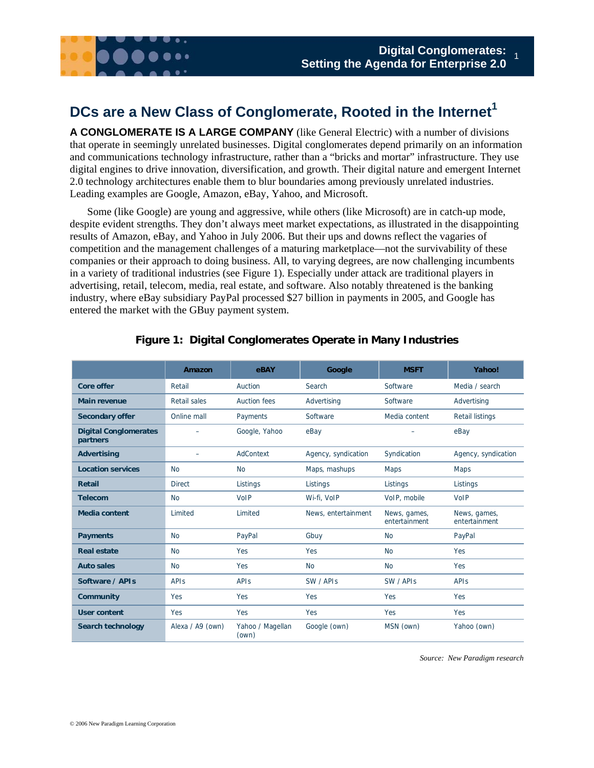

## **DCs are a New Class of Conglomerate, Rooted in the Internet<sup>1</sup>**

**A CONGLOMERATE IS A LARGE COMPANY** (like General Electric) with a number of divisions that operate in seemingly unrelated businesses. Digital conglomerates depend primarily on an information and communications technology infrastructure, rather than a "bricks and mortar" infrastructure. They use digital engines to drive innovation, diversification, and growth. Their digital nature and emergent Internet 2.0 technology architectures enable them to blur boundaries among previously unrelated industries. Leading examples are Google, Amazon, eBay, Yahoo, and Microsoft.

Some (like Google) are young and aggressive, while others (like Microsoft) are in catch-up mode, despite evident strengths. They don't always meet market expectations, as illustrated in the disappointing results of Amazon, eBay, and Yahoo in July 2006. But their ups and downs reflect the vagaries of competition and the management challenges of a maturing marketplace—not the survivability of these companies or their approach to doing business. All, to varying degrees, are now challenging incumbents in a variety of traditional industries (see Figure 1). Especially under attack are traditional players in advertising, retail, telecom, media, real estate, and software. Also notably threatened is the banking industry, where eBay subsidiary PayPal processed \$27 billion in payments in 2005, and Google has entered the market with the GBuy payment system.

|                                          | Amazon           | eBAY                      | Google              | <b>MSFT</b>                   | Yahoo!                        |
|------------------------------------------|------------------|---------------------------|---------------------|-------------------------------|-------------------------------|
| <b>Core offer</b>                        | Retail           | Auction                   | Search              | Software                      | Media / search                |
| <b>Main revenue</b>                      | Retail sales     | Auction fees              | Advertising         | Software                      | Advertising                   |
| <b>Secondary offer</b>                   | Online mall      | Payments                  | Software            | Media content                 | <b>Retail listings</b>        |
| <b>Digital Conglomerates</b><br>partners |                  | Google, Yahoo             | eBay                |                               | eBay                          |
| <b>Advertising</b>                       |                  | AdContext                 | Agency, syndication | Syndication                   | Agency, syndication           |
| <b>Location services</b>                 | <b>No</b>        | <b>No</b>                 | Maps, mashups       | Maps                          | <b>Maps</b>                   |
| <b>Retail</b>                            | <b>Direct</b>    | Listings                  | Listings            | Listings                      | Listings                      |
| <b>Telecom</b>                           | <b>No</b>        | VolP                      | Wi-fi, VoIP         | VoIP, mobile                  | VoIP                          |
| <b>Media content</b>                     | Limited          | Limited                   | News, entertainment | News, games,<br>entertainment | News, games,<br>entertainment |
| <b>Payments</b>                          | <b>No</b>        | PayPal                    | Gbuy                | <b>No</b>                     | PayPal                        |
| <b>Real estate</b>                       | <b>No</b>        | Yes                       | Yes                 | <b>No</b>                     | Yes                           |
| <b>Auto sales</b>                        | <b>No</b>        | Yes                       | <b>No</b>           | <b>No</b>                     | Yes                           |
| Software / APIs                          | <b>APIS</b>      | <b>APIS</b>               | SW / APIs           | SW / APIs                     | <b>APIS</b>                   |
| <b>Community</b>                         | Yes              | Yes                       | Yes                 | Yes                           | Yes                           |
| <b>User content</b>                      | Yes              | Yes                       | Yes                 | Yes                           | Yes                           |
| Search technology                        | Alexa / A9 (own) | Yahoo / Magellan<br>(own) | Google (own)        | MSN (own)                     | Yahoo (own)                   |

#### **Figure 1: Digital Conglomerates Operate in Many Industries**

*Source: New Paradigm research*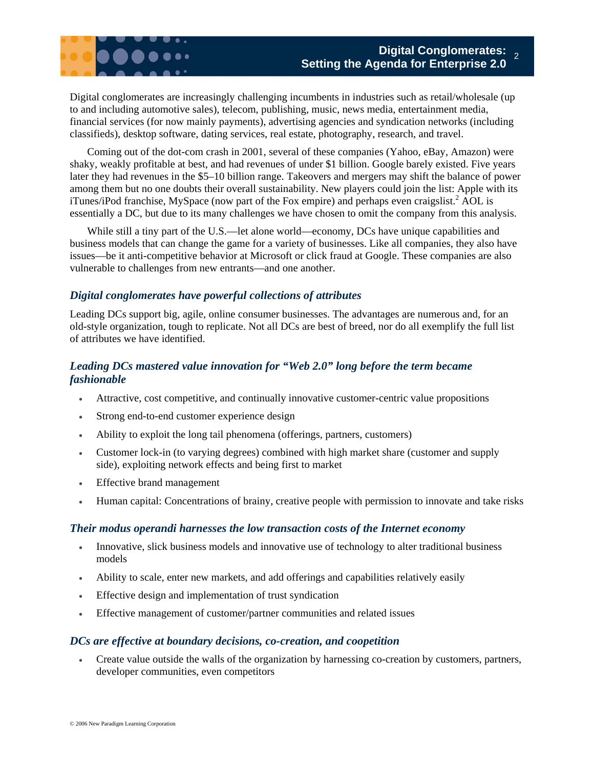Digital conglomerates are increasingly challenging incumbents in industries such as retail/wholesale (up to and including automotive sales), telecom, publishing, music, news media, entertainment media, financial services (for now mainly payments), advertising agencies and syndication networks (including classifieds), desktop software, dating services, real estate, photography, research, and travel.

Coming out of the dot-com crash in 2001, several of these companies (Yahoo, eBay, Amazon) were shaky, weakly profitable at best, and had revenues of under \$1 billion. Google barely existed. Five years later they had revenues in the \$5–10 billion range. Takeovers and mergers may shift the balance of power among them but no one doubts their overall sustainability. New players could join the list: Apple with its iTunes/iPod franchise, MySpace (now part of the Fox empire) and perhaps even craigslist.<sup>2</sup> AOL is essentially a DC, but due to its many challenges we have chosen to omit the company from this analysis.

While still a tiny part of the U.S.—let alone world—economy, DCs have unique capabilities and business models that can change the game for a variety of businesses. Like all companies, they also have issues—be it anti-competitive behavior at Microsoft or click fraud at Google. These companies are also vulnerable to challenges from new entrants—and one another.

#### *Digital conglomerates have powerful collections of attributes*

Leading DCs support big, agile, online consumer businesses. The advantages are numerous and, for an old-style organization, tough to replicate. Not all DCs are best of breed, nor do all exemplify the full list of attributes we have identified.

### *Leading DCs mastered value innovation for "Web 2.0" long before the term became fashionable*

- Attractive, cost competitive, and continually innovative customer-centric value propositions
- Strong end-to-end customer experience design
- Ability to exploit the long tail phenomena (offerings, partners, customers)
- Customer lock-in (to varying degrees) combined with high market share (customer and supply side), exploiting network effects and being first to market
- Effective brand management
- Human capital: Concentrations of brainy, creative people with permission to innovate and take risks

#### *Their modus operandi harnesses the low transaction costs of the Internet economy*

- Innovative, slick business models and innovative use of technology to alter traditional business models
- Ability to scale, enter new markets, and add offerings and capabilities relatively easily
- Effective design and implementation of trust syndication
- Effective management of customer/partner communities and related issues

#### *DCs are effective at boundary decisions, co-creation, and coopetition*

• Create value outside the walls of the organization by harnessing co-creation by customers, partners, developer communities, even competitors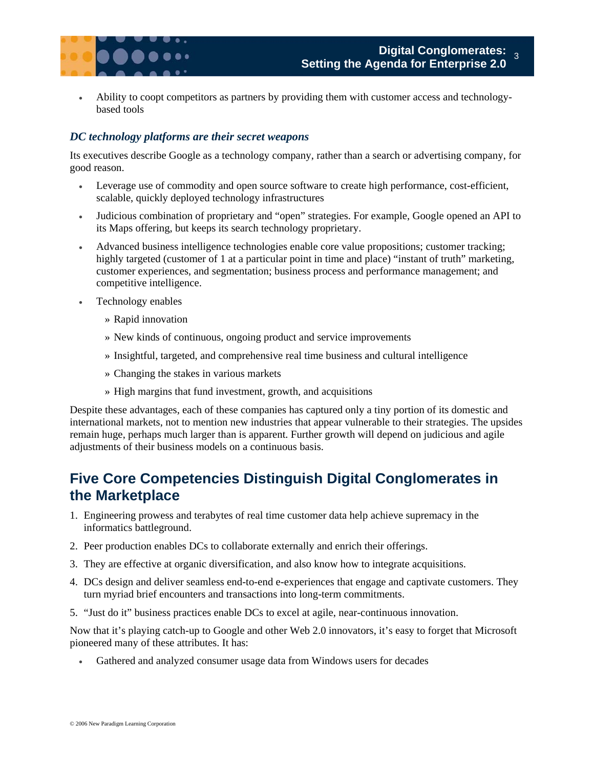

• Ability to coopt competitors as partners by providing them with customer access and technologybased tools

#### *DC technology platforms are their secret weapons*

Its executives describe Google as a technology company, rather than a search or advertising company, for good reason.

- Leverage use of commodity and open source software to create high performance, cost-efficient, scalable, quickly deployed technology infrastructures
- Judicious combination of proprietary and "open" strategies. For example, Google opened an API to its Maps offering, but keeps its search technology proprietary.
- Advanced business intelligence technologies enable core value propositions; customer tracking; highly targeted (customer of 1 at a particular point in time and place) "instant of truth" marketing, customer experiences, and segmentation; business process and performance management; and competitive intelligence.
- Technology enables
	- » Rapid innovation
	- » New kinds of continuous, ongoing product and service improvements
	- » Insightful, targeted, and comprehensive real time business and cultural intelligence
	- » Changing the stakes in various markets
	- » High margins that fund investment, growth, and acquisitions

Despite these advantages, each of these companies has captured only a tiny portion of its domestic and international markets, not to mention new industries that appear vulnerable to their strategies. The upsides remain huge, perhaps much larger than is apparent. Further growth will depend on judicious and agile adjustments of their business models on a continuous basis.

## **Five Core Competencies Distinguish Digital Conglomerates in the Marketplace**

- 1. Engineering prowess and terabytes of real time customer data help achieve supremacy in the informatics battleground.
- 2. Peer production enables DCs to collaborate externally and enrich their offerings.
- 3. They are effective at organic diversification, and also know how to integrate acquisitions.
- 4. DCs design and deliver seamless end-to-end e-experiences that engage and captivate customers. They turn myriad brief encounters and transactions into long-term commitments.
- 5. "Just do it" business practices enable DCs to excel at agile, near-continuous innovation.

Now that it's playing catch-up to Google and other Web 2.0 innovators, it's easy to forget that Microsoft pioneered many of these attributes. It has:

Gathered and analyzed consumer usage data from Windows users for decades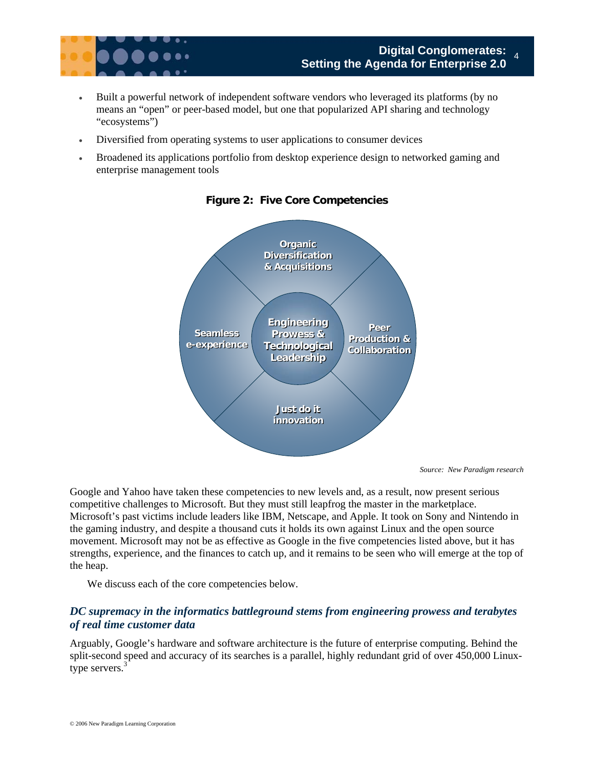

- Built a powerful network of independent software vendors who leveraged its platforms (by no means an "open" or peer-based model, but one that popularized API sharing and technology "ecosystems")
- Diversified from operating systems to user applications to consumer devices
- Broadened its applications portfolio from desktop experience design to networked gaming and enterprise management tools



#### **Figure 2: Five Core Competencies**

*Source: New Paradigm research* 

Google and Yahoo have taken these competencies to new levels and, as a result, now present serious competitive challenges to Microsoft. But they must still leapfrog the master in the marketplace. Microsoft's past victims include leaders like IBM, Netscape, and Apple. It took on Sony and Nintendo in the gaming industry, and despite a thousand cuts it holds its own against Linux and the open source movement. Microsoft may not be as effective as Google in the five competencies listed above, but it has strengths, experience, and the finances to catch up, and it remains to be seen who will emerge at the top of the heap.

We discuss each of the core competencies below.

#### *DC supremacy in the informatics battleground stems from engineering prowess and terabytes of real time customer data*

Arguably, Google's hardware and software architecture is the future of enterprise computing. Behind the split-second speed and accuracy of its searches is a parallel, highly redundant grid of over 450,000 Linuxtype servers.<sup>3</sup>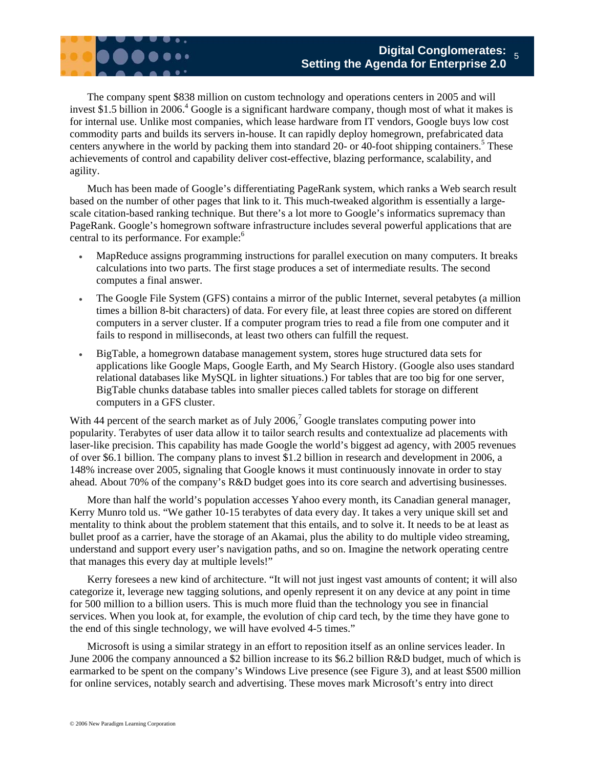

The company spent \$838 million on custom technology and operations centers in 2005 and will invest \$1.5 billion in 2006.<sup>4</sup> Google is a significant hardware company, though most of what it makes is for internal use. Unlike most companies, which lease hardware from IT vendors, Google buys low cost commodity parts and builds its servers in-house. It can rapidly deploy homegrown, prefabricated data centers anywhere in the world by packing them into standard 20- or 40-foot shipping containers.<sup>5</sup> These achievements of control and capability deliver cost-effective, blazing performance, scalability, and agility.

Much has been made of Google's differentiating PageRank system, which ranks a Web search result based on the number of other pages that link to it. This much-tweaked algorithm is essentially a largescale citation-based ranking technique. But there's a lot more to Google's informatics supremacy than PageRank. Google's homegrown software infrastructure includes several powerful applications that are central to its performance. For example:<sup>6</sup>

- MapReduce assigns programming instructions for parallel execution on many computers. It breaks calculations into two parts. The first stage produces a set of intermediate results. The second computes a final answer.
- The Google File System (GFS) contains a mirror of the public Internet, several petabytes (a million times a billion 8-bit characters) of data. For every file, at least three copies are stored on different computers in a server cluster. If a computer program tries to read a file from one computer and it fails to respond in milliseconds, at least two others can fulfill the request.
- BigTable, a homegrown database management system, stores huge structured data sets for applications like Google Maps, Google Earth, and My Search History. (Google also uses standard relational databases like MySQL in lighter situations.) For tables that are too big for one server, BigTable chunks database tables into smaller pieces called tablets for storage on different computers in a GFS cluster.

With 44 percent of the search market as of July 2006,<sup>7</sup> Google translates computing power into popularity. Terabytes of user data allow it to tailor search results and contextualize ad placements with laser-like precision. This capability has made Google the world's biggest ad agency, with 2005 revenues of over \$6.1 billion. The company plans to invest \$1.2 billion in research and development in 2006, a 148% increase over 2005, signaling that Google knows it must continuously innovate in order to stay ahead. About 70% of the company's R&D budget goes into its core search and advertising businesses.

More than half the world's population accesses Yahoo every month, its Canadian general manager, Kerry Munro told us. "We gather 10-15 terabytes of data every day. It takes a very unique skill set and mentality to think about the problem statement that this entails, and to solve it. It needs to be at least as bullet proof as a carrier, have the storage of an Akamai, plus the ability to do multiple video streaming, understand and support every user's navigation paths, and so on. Imagine the network operating centre that manages this every day at multiple levels!"

Kerry foresees a new kind of architecture. "It will not just ingest vast amounts of content; it will also categorize it, leverage new tagging solutions, and openly represent it on any device at any point in time for 500 million to a billion users. This is much more fluid than the technology you see in financial services. When you look at, for example, the evolution of chip card tech, by the time they have gone to the end of this single technology, we will have evolved 4-5 times."

Microsoft is using a similar strategy in an effort to reposition itself as an online services leader. In June 2006 the company announced a \$2 billion increase to its \$6.2 billion R&D budget, much of which is earmarked to be spent on the company's Windows Live presence (see Figure 3), and at least \$500 million for online services, notably search and advertising. These moves mark Microsoft's entry into direct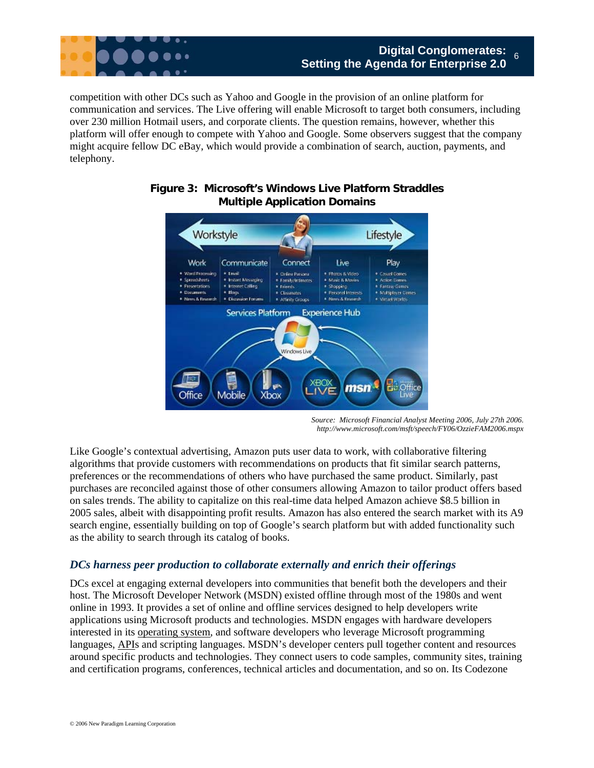

competition with other DCs such as Yahoo and Google in the provision of an online platform for communication and services. The Live offering will enable Microsoft to target both consumers, including over 230 million Hotmail users, and corporate clients. The question remains, however, whether this platform will offer enough to compete with Yahoo and Google. Some observers suggest that the company might acquire fellow DC eBay, which would provide a combination of search, auction, payments, and telephony.



#### **Figure 3: Microsoft's Windows Live Platform Straddles Multiple Application Domains**

*Source: Microsoft Financial Analyst Meeting 2006, July 27th 2006. http://www.microsoft.com/msft/speech/FY06/OzzieFAM2006.mspx* 

Like Google's contextual advertising, Amazon puts user data to work, with collaborative filtering algorithms that provide customers with recommendations on products that fit similar search patterns, preferences or the recommendations of others who have purchased the same product. Similarly, past purchases are reconciled against those of other consumers allowing Amazon to tailor product offers based on sales trends. The ability to capitalize on this real-time data helped Amazon achieve \$8.5 billion in 2005 sales, albeit with disappointing profit results. Amazon has also entered the search market with its A9 search engine, essentially building on top of Google's search platform but with added functionality such as the ability to search through its catalog of books.

#### *DCs harness peer production to collaborate externally and enrich their offerings*

DCs excel at engaging external developers into communities that benefit both the developers and their host. The Microsoft Developer Network (MSDN) existed offline through most of the 1980s and went online in 1993. It provides a set of online and offline services designed to help developers write applications using Microsoft products and technologies. MSDN engages with hardware developers interested in its operating system, and software developers who leverage Microsoft programming languages, APIs and scripting languages. MSDN's developer centers pull together content and resources around specific products and technologies. They connect users to code samples, community sites, training and certification programs, conferences, technical articles and documentation, and so on. Its Codezone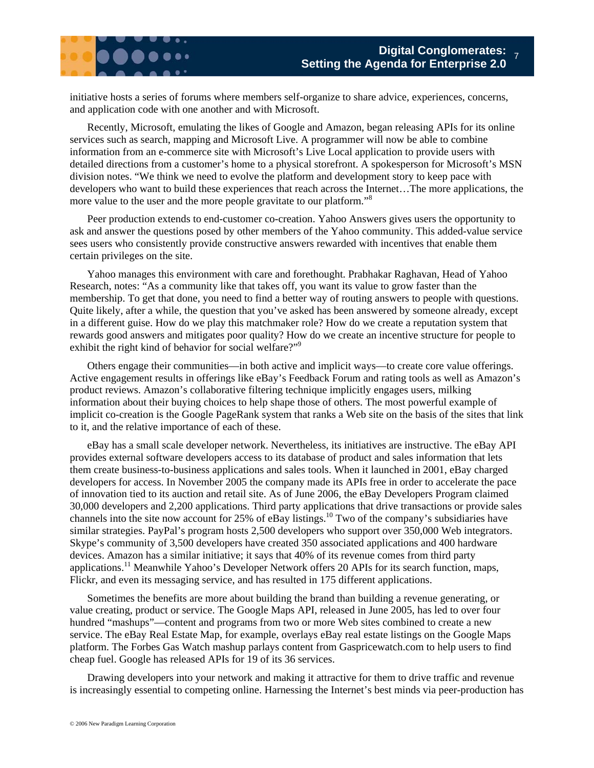initiative hosts a series of forums where members self-organize to share advice, experiences, concerns, and application code with one another and with Microsoft.

Recently, Microsoft, emulating the likes of Google and Amazon, began releasing APIs for its online services such as search, mapping and Microsoft Live. A programmer will now be able to combine information from an e-commerce site with Microsoft's Live Local application to provide users with detailed directions from a customer's home to a physical storefront. A spokesperson for Microsoft's MSN division notes. "We think we need to evolve the platform and development story to keep pace with developers who want to build these experiences that reach across the Internet…The more applications, the more value to the user and the more people gravitate to our platform."<sup>8</sup>

Peer production extends to end-customer co-creation. Yahoo Answers gives users the opportunity to ask and answer the questions posed by other members of the Yahoo community. This added-value service sees users who consistently provide constructive answers rewarded with incentives that enable them certain privileges on the site.

Yahoo manages this environment with care and forethought. Prabhakar Raghavan, Head of Yahoo Research, notes: "As a community like that takes off, you want its value to grow faster than the membership. To get that done, you need to find a better way of routing answers to people with questions. Quite likely, after a while, the question that you've asked has been answered by someone already, except in a different guise. How do we play this matchmaker role? How do we create a reputation system that rewards good answers and mitigates poor quality? How do we create an incentive structure for people to exhibit the right kind of behavior for social welfare?"<sup>9</sup>

Others engage their communities—in both active and implicit ways—to create core value offerings. Active engagement results in offerings like eBay's Feedback Forum and rating tools as well as Amazon's product reviews. Amazon's collaborative filtering technique implicitly engages users, milking information about their buying choices to help shape those of others. The most powerful example of implicit co-creation is the Google PageRank system that ranks a Web site on the basis of the sites that link to it, and the relative importance of each of these.

eBay has a small scale developer network. Nevertheless, its initiatives are instructive. The eBay API provides external software developers access to its database of product and sales information that lets them create business-to-business applications and sales tools. When it launched in 2001, eBay charged developers for access. In November 2005 the company made its APIs free in order to accelerate the pace of innovation tied to its auction and retail site. As of June 2006, the eBay Developers Program claimed 30,000 developers and 2,200 applications. Third party applications that drive transactions or provide sales channels into the site now account for 25% of eBay listings.<sup>10</sup> Two of the company's subsidiaries have similar strategies. PayPal's program hosts 2,500 developers who support over 350,000 Web integrators. Skype's community of 3,500 developers have created 350 associated applications and 400 hardware devices. Amazon has a similar initiative; it says that 40% of its revenue comes from third party applications.11 Meanwhile Yahoo's Developer Network offers 20 APIs for its search function, maps, Flickr, and even its messaging service, and has resulted in 175 different applications.

Sometimes the benefits are more about building the brand than building a revenue generating, or value creating, product or service. The Google Maps API, released in June 2005, has led to over four hundred "mashups"—content and programs from two or more Web sites combined to create a new service. The eBay Real Estate Map, for example, overlays eBay real estate listings on the Google Maps platform. The Forbes Gas Watch mashup parlays content from Gaspricewatch.com to help users to find cheap fuel. Google has released APIs for 19 of its 36 services.

Drawing developers into your network and making it attractive for them to drive traffic and revenue is increasingly essential to competing online. Harnessing the Internet's best minds via peer-production has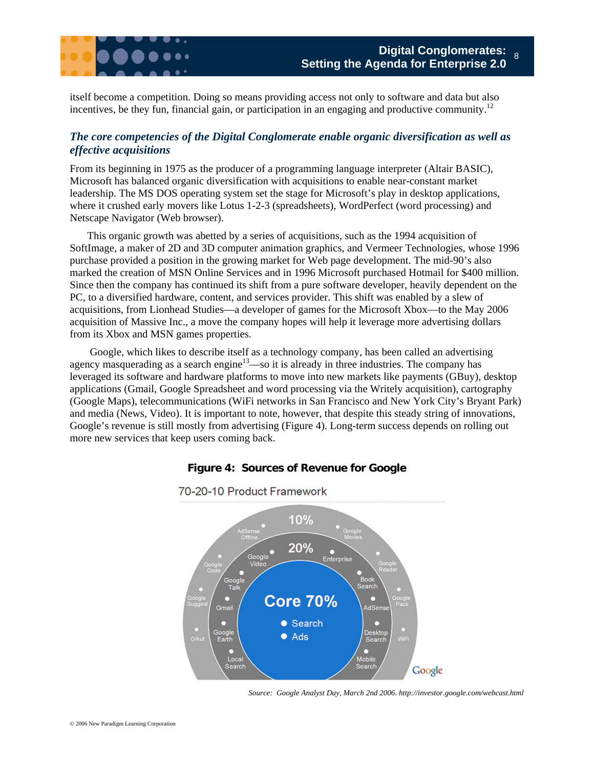

itself become a competition. Doing so means providing access not only to software and data but also incentives, be they fun, financial gain, or participation in an engaging and productive community.<sup>12</sup>

### *The core competencies of the Digital Conglomerate enable organic diversification as well as effective acquisitions*

From its beginning in 1975 as the producer of a programming language interpreter (Altair BASIC), Microsoft has balanced organic diversification with acquisitions to enable near-constant market leadership. The MS DOS operating system set the stage for Microsoft's play in desktop applications, where it crushed early movers like Lotus 1-2-3 (spreadsheets), WordPerfect (word processing) and Netscape Navigator (Web browser).

This organic growth was abetted by a series of acquisitions, such as the 1994 acquisition of SoftImage, a maker of 2D and 3D computer animation graphics, and Vermeer Technologies, whose 1996 purchase provided a position in the growing market for Web page development. The mid-90's also marked the creation of MSN Online Services and in 1996 Microsoft purchased Hotmail for \$400 million. Since then the company has continued its shift from a pure software developer, heavily dependent on the PC, to a diversified hardware, content, and services provider. This shift was enabled by a slew of acquisitions, from Lionhead Studies—a developer of games for the Microsoft Xbox—to the May 2006 acquisition of Massive Inc., a move the company hopes will help it leverage more advertising dollars from its Xbox and MSN games properties.

 Google, which likes to describe itself as a technology company, has been called an advertising agency masquerading as a search engine<sup>13</sup>—so it is already in three industries. The company has leveraged its software and hardware platforms to move into new markets like payments (GBuy), desktop applications (Gmail, Google Spreadsheet and word processing via the Writely acquisition), cartography (Google Maps), telecommunications (WiFi networks in San Francisco and New York City's Bryant Park) and media (News, Video). It is important to note, however, that despite this steady string of innovations, Google's revenue is still mostly from advertising (Figure 4). Long-term success depends on rolling out more new services that keep users coming back.

#### **Figure 4: Sources of Revenue for Google**



70-20-10 Product Framework

*Source: Google Analyst Day, March 2nd 2006. http://investor.google.com/webcast.html*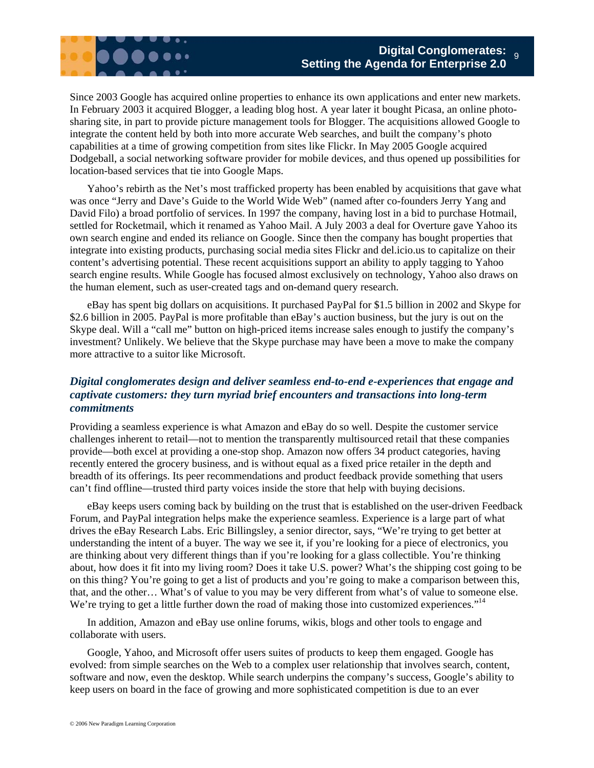

Since 2003 Google has acquired online properties to enhance its own applications and enter new markets. In February 2003 it acquired Blogger, a leading blog host. A year later it bought Picasa, an online photosharing site, in part to provide picture management tools for Blogger. The acquisitions allowed Google to integrate the content held by both into more accurate Web searches, and built the company's photo capabilities at a time of growing competition from sites like Flickr. In May 2005 Google acquired Dodgeball, a social networking software provider for mobile devices, and thus opened up possibilities for location-based services that tie into Google Maps.

Yahoo's rebirth as the Net's most trafficked property has been enabled by acquisitions that gave what was once "Jerry and Dave's Guide to the World Wide Web" (named after co-founders Jerry Yang and David Filo) a broad portfolio of services. In 1997 the company, having lost in a bid to purchase Hotmail, settled for Rocketmail, which it renamed as Yahoo Mail. A July 2003 a deal for Overture gave Yahoo its own search engine and ended its reliance on Google. Since then the company has bought properties that integrate into existing products, purchasing social media sites Flickr and del.icio.us to capitalize on their content's advertising potential. These recent acquisitions support an ability to apply tagging to Yahoo search engine results. While Google has focused almost exclusively on technology, Yahoo also draws on the human element, such as user-created tags and on-demand query research.

eBay has spent big dollars on acquisitions. It purchased PayPal for \$1.5 billion in 2002 and Skype for \$2.6 billion in 2005. PayPal is more profitable than eBay's auction business, but the jury is out on the Skype deal. Will a "call me" button on high-priced items increase sales enough to justify the company's investment? Unlikely. We believe that the Skype purchase may have been a move to make the company more attractive to a suitor like Microsoft.

### *Digital conglomerates design and deliver seamless end-to-end e-experiences that engage and captivate customers: they turn myriad brief encounters and transactions into long-term commitments*

Providing a seamless experience is what Amazon and eBay do so well. Despite the customer service challenges inherent to retail—not to mention the transparently multisourced retail that these companies provide—both excel at providing a one-stop shop. Amazon now offers 34 product categories, having recently entered the grocery business, and is without equal as a fixed price retailer in the depth and breadth of its offerings. Its peer recommendations and product feedback provide something that users can't find offline—trusted third party voices inside the store that help with buying decisions.

eBay keeps users coming back by building on the trust that is established on the user-driven Feedback Forum, and PayPal integration helps make the experience seamless. Experience is a large part of what drives the eBay Research Labs. Eric Billingsley, a senior director, says, "We're trying to get better at understanding the intent of a buyer. The way we see it, if you're looking for a piece of electronics, you are thinking about very different things than if you're looking for a glass collectible. You're thinking about, how does it fit into my living room? Does it take U.S. power? What's the shipping cost going to be on this thing? You're going to get a list of products and you're going to make a comparison between this, that, and the other… What's of value to you may be very different from what's of value to someone else. We're trying to get a little further down the road of making those into customized experiences."<sup>14</sup>

In addition, Amazon and eBay use online forums, wikis, blogs and other tools to engage and collaborate with users.

Google, Yahoo, and Microsoft offer users suites of products to keep them engaged. Google has evolved: from simple searches on the Web to a complex user relationship that involves search, content, software and now, even the desktop. While search underpins the company's success, Google's ability to keep users on board in the face of growing and more sophisticated competition is due to an ever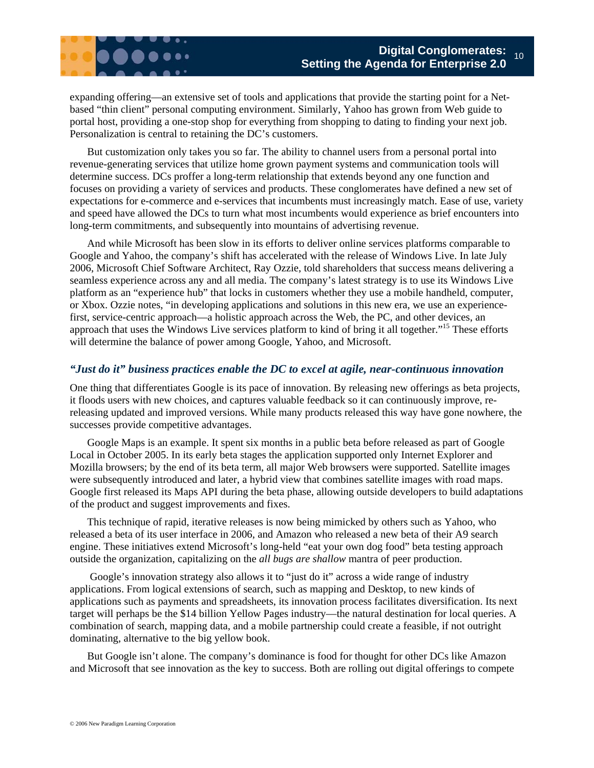expanding offering—an extensive set of tools and applications that provide the starting point for a Netbased "thin client" personal computing environment. Similarly, Yahoo has grown from Web guide to portal host, providing a one-stop shop for everything from shopping to dating to finding your next job. Personalization is central to retaining the DC's customers.

But customization only takes you so far. The ability to channel users from a personal portal into revenue-generating services that utilize home grown payment systems and communication tools will determine success. DCs proffer a long-term relationship that extends beyond any one function and focuses on providing a variety of services and products. These conglomerates have defined a new set of expectations for e-commerce and e-services that incumbents must increasingly match. Ease of use, variety and speed have allowed the DCs to turn what most incumbents would experience as brief encounters into long-term commitments, and subsequently into mountains of advertising revenue.

And while Microsoft has been slow in its efforts to deliver online services platforms comparable to Google and Yahoo, the company's shift has accelerated with the release of Windows Live. In late July 2006, Microsoft Chief Software Architect, Ray Ozzie, told shareholders that success means delivering a seamless experience across any and all media. The company's latest strategy is to use its Windows Live platform as an "experience hub" that locks in customers whether they use a mobile handheld, computer, or Xbox. Ozzie notes, "in developing applications and solutions in this new era, we use an experiencefirst, service-centric approach—a holistic approach across the Web, the PC, and other devices, an approach that uses the Windows Live services platform to kind of bring it all together."15 These efforts will determine the balance of power among Google, Yahoo, and Microsoft.

#### *"Just do it" business practices enable the DC to excel at agile, near-continuous innovation*

One thing that differentiates Google is its pace of innovation. By releasing new offerings as beta projects, it floods users with new choices, and captures valuable feedback so it can continuously improve, rereleasing updated and improved versions. While many products released this way have gone nowhere, the successes provide competitive advantages.

Google Maps is an example. It spent six months in a public beta before released as part of Google Local in October 2005. In its early beta stages the application supported only Internet Explorer and Mozilla browsers; by the end of its beta term, all major Web browsers were supported. Satellite images were subsequently introduced and later, a hybrid view that combines satellite images with road maps. Google first released its Maps API during the beta phase, allowing outside developers to build adaptations of the product and suggest improvements and fixes.

This technique of rapid, iterative releases is now being mimicked by others such as Yahoo, who released a beta of its user interface in 2006, and Amazon who released a new beta of their A9 search engine. These initiatives extend Microsoft's long-held "eat your own dog food" beta testing approach outside the organization, capitalizing on the *all bugs are shallow* mantra of peer production.

 Google's innovation strategy also allows it to "just do it" across a wide range of industry applications. From logical extensions of search, such as mapping and Desktop, to new kinds of applications such as payments and spreadsheets, its innovation process facilitates diversification. Its next target will perhaps be the \$14 billion Yellow Pages industry—the natural destination for local queries. A combination of search, mapping data, and a mobile partnership could create a feasible, if not outright dominating, alternative to the big yellow book.

But Google isn't alone. The company's dominance is food for thought for other DCs like Amazon and Microsoft that see innovation as the key to success. Both are rolling out digital offerings to compete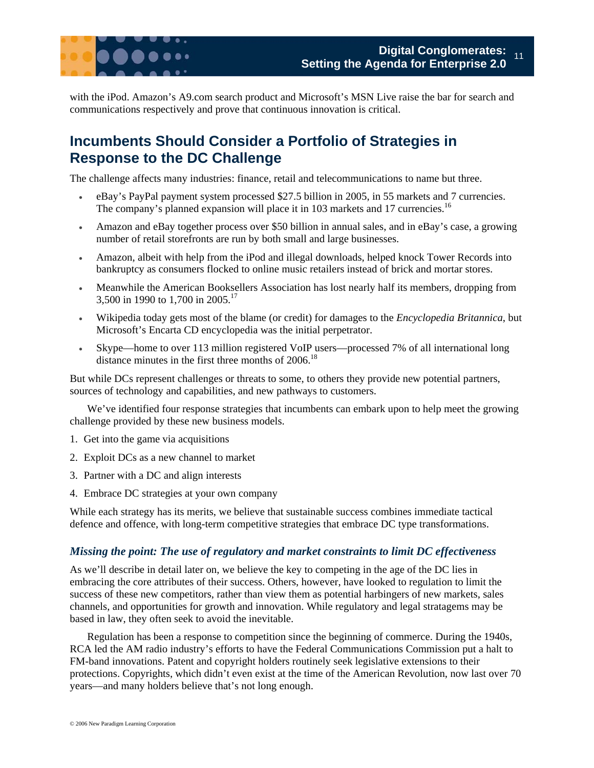

with the iPod. Amazon's A9.com search product and Microsoft's MSN Live raise the bar for search and communications respectively and prove that continuous innovation is critical.

## **Incumbents Should Consider a Portfolio of Strategies in Response to the DC Challenge**

The challenge affects many industries: finance, retail and telecommunications to name but three.

- eBay's PayPal payment system processed \$27.5 billion in 2005, in 55 markets and 7 currencies. The company's planned expansion will place it in 103 markets and 17 currencies.<sup>16</sup>
- Amazon and eBay together process over \$50 billion in annual sales, and in eBay's case, a growing number of retail storefronts are run by both small and large businesses.
- Amazon, albeit with help from the iPod and illegal downloads, helped knock Tower Records into bankruptcy as consumers flocked to online music retailers instead of brick and mortar stores.
- Meanwhile the American Booksellers Association has lost nearly half its members, dropping from 3,500 in 1990 to 1,700 in 2005.17
- Wikipedia today gets most of the blame (or credit) for damages to the *Encyclopedia Britannica*, but Microsoft's Encarta CD encyclopedia was the initial perpetrator.
- Skype—home to over 113 million registered VoIP users—processed 7% of all international long distance minutes in the first three months of  $2006$ .<sup>18</sup>

But while DCs represent challenges or threats to some, to others they provide new potential partners, sources of technology and capabilities, and new pathways to customers.

We've identified four response strategies that incumbents can embark upon to help meet the growing challenge provided by these new business models.

- 1. Get into the game via acquisitions
- 2. Exploit DCs as a new channel to market
- 3. Partner with a DC and align interests
- 4. Embrace DC strategies at your own company

While each strategy has its merits, we believe that sustainable success combines immediate tactical defence and offence, with long-term competitive strategies that embrace DC type transformations.

#### *Missing the point: The use of regulatory and market constraints to limit DC effectiveness*

As we'll describe in detail later on, we believe the key to competing in the age of the DC lies in embracing the core attributes of their success. Others, however, have looked to regulation to limit the success of these new competitors, rather than view them as potential harbingers of new markets, sales channels, and opportunities for growth and innovation. While regulatory and legal stratagems may be based in law, they often seek to avoid the inevitable.

Regulation has been a response to competition since the beginning of commerce. During the 1940s, RCA led the AM radio industry's efforts to have the Federal Communications Commission put a halt to FM-band innovations. Patent and copyright holders routinely seek legislative extensions to their protections. Copyrights, which didn't even exist at the time of the American Revolution, now last over 70 years—and many holders believe that's not long enough.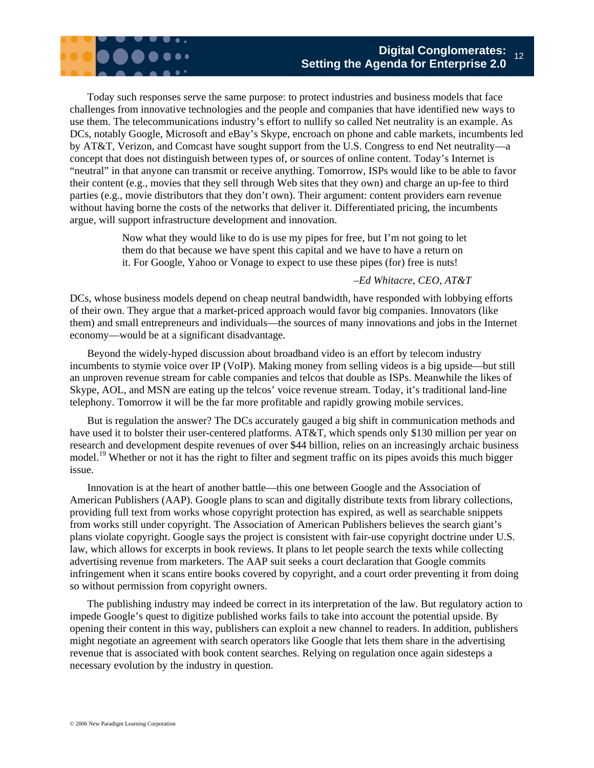

Today such responses serve the same purpose: to protect industries and business models that face challenges from innovative technologies and the people and companies that have identified new ways to use them. The telecommunications industry's effort to nullify so called Net neutrality is an example. As DCs, notably Google, Microsoft and eBay's Skype, encroach on phone and cable markets, incumbents led by AT&T, Verizon, and Comcast have sought support from the U.S. Congress to end Net neutrality—a concept that does not distinguish between types of, or sources of online content. Today's Internet is "neutral" in that anyone can transmit or receive anything. Tomorrow, ISPs would like to be able to favor their content (e.g., movies that they sell through Web sites that they own) and charge an up-fee to third parties (e.g., movie distributors that they don't own). Their argument: content providers earn revenue without having borne the costs of the networks that deliver it. Differentiated pricing, the incumbents argue, will support infrastructure development and innovation.

> Now what they would like to do is use my pipes for free, but I'm not going to let them do that because we have spent this capital and we have to have a return on it. For Google, Yahoo or Vonage to expect to use these pipes (for) free is nuts!

#### *–Ed Whitacre, CEO, AT&T*

DCs, whose business models depend on cheap neutral bandwidth, have responded with lobbying efforts of their own. They argue that a market-priced approach would favor big companies. Innovators (like them) and small entrepreneurs and individuals—the sources of many innovations and jobs in the Internet economy—would be at a significant disadvantage.

Beyond the widely-hyped discussion about broadband video is an effort by telecom industry incumbents to stymie voice over IP (VoIP). Making money from selling videos is a big upside—but still an unproven revenue stream for cable companies and telcos that double as ISPs. Meanwhile the likes of Skype, AOL, and MSN are eating up the telcos' voice revenue stream. Today, it's traditional land-line telephony. Tomorrow it will be the far more profitable and rapidly growing mobile services.

But is regulation the answer? The DCs accurately gauged a big shift in communication methods and have used it to bolster their user-centered platforms. AT&T, which spends only \$130 million per year on research and development despite revenues of over \$44 billion, relies on an increasingly archaic business model.<sup>19</sup> Whether or not it has the right to filter and segment traffic on its pipes avoids this much bigger issue.

Innovation is at the heart of another battle—this one between Google and the Association of American Publishers (AAP). Google plans to scan and digitally distribute texts from library collections, providing full text from works whose copyright protection has expired, as well as searchable snippets from works still under copyright. The Association of American Publishers believes the search giant's plans violate copyright. Google says the project is consistent with fair-use copyright doctrine under U.S. law, which allows for excerpts in book reviews. It plans to let people search the texts while collecting advertising revenue from marketers. The AAP suit seeks a court declaration that Google commits infringement when it scans entire books covered by copyright, and a court order preventing it from doing so without permission from copyright owners.

The publishing industry may indeed be correct in its interpretation of the law. But regulatory action to impede Google's quest to digitize published works fails to take into account the potential upside. By opening their content in this way, publishers can exploit a new channel to readers. In addition, publishers might negotiate an agreement with search operators like Google that lets them share in the advertising revenue that is associated with book content searches. Relying on regulation once again sidesteps a necessary evolution by the industry in question.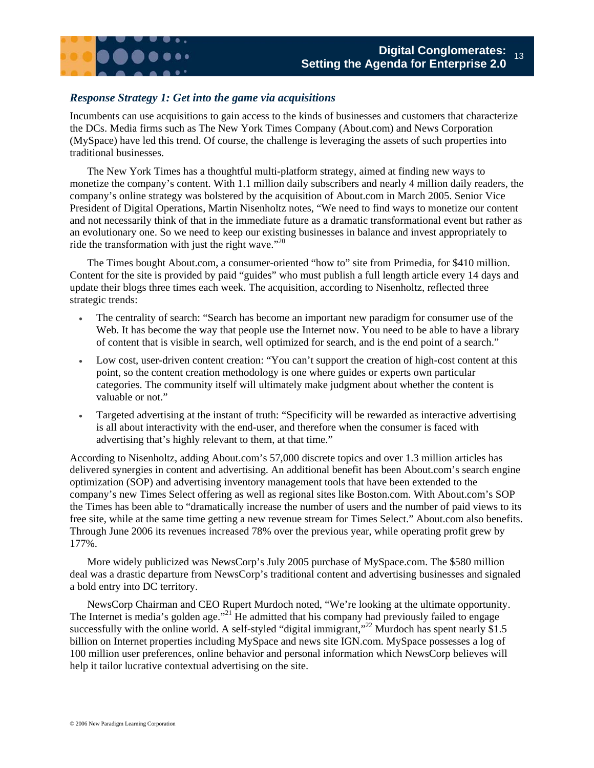#### *Response Strategy 1: Get into the game via acquisitions*

Incumbents can use acquisitions to gain access to the kinds of businesses and customers that characterize the DCs. Media firms such as The New York Times Company (About.com) and News Corporation (MySpace) have led this trend. Of course, the challenge is leveraging the assets of such properties into traditional businesses.

The New York Times has a thoughtful multi-platform strategy, aimed at finding new ways to monetize the company's content. With 1.1 million daily subscribers and nearly 4 million daily readers, the company's online strategy was bolstered by the acquisition of About.com in March 2005. Senior Vice President of Digital Operations, Martin Nisenholtz notes, "We need to find ways to monetize our content and not necessarily think of that in the immediate future as a dramatic transformational event but rather as an evolutionary one. So we need to keep our existing businesses in balance and invest appropriately to ride the transformation with just the right wave."<sup>20</sup>

The Times bought About.com, a consumer-oriented "how to" site from Primedia, for \$410 million. Content for the site is provided by paid "guides" who must publish a full length article every 14 days and update their blogs three times each week. The acquisition, according to Nisenholtz, reflected three strategic trends:

- The centrality of search: "Search has become an important new paradigm for consumer use of the Web. It has become the way that people use the Internet now. You need to be able to have a library of content that is visible in search, well optimized for search, and is the end point of a search."
- Low cost, user-driven content creation: "You can't support the creation of high-cost content at this point, so the content creation methodology is one where guides or experts own particular categories. The community itself will ultimately make judgment about whether the content is valuable or not."
- Targeted advertising at the instant of truth: "Specificity will be rewarded as interactive advertising is all about interactivity with the end-user, and therefore when the consumer is faced with advertising that's highly relevant to them, at that time."

According to Nisenholtz, adding About.com's 57,000 discrete topics and over 1.3 million articles has delivered synergies in content and advertising. An additional benefit has been About.com's search engine optimization (SOP) and advertising inventory management tools that have been extended to the company's new Times Select offering as well as regional sites like Boston.com. With About.com's SOP the Times has been able to "dramatically increase the number of users and the number of paid views to its free site, while at the same time getting a new revenue stream for Times Select." About.com also benefits. Through June 2006 its revenues increased 78% over the previous year, while operating profit grew by 177%.

More widely publicized was NewsCorp's July 2005 purchase of MySpace.com. The \$580 million deal was a drastic departure from NewsCorp's traditional content and advertising businesses and signaled a bold entry into DC territory.

NewsCorp Chairman and CEO Rupert Murdoch noted, "We're looking at the ultimate opportunity. The Internet is media's golden age."<sup>21</sup> He admitted that his company had previously failed to engage successfully with the online world. A self-styled "digital immigrant,"<sup>22</sup> Murdoch has spent nearly \$1.5 billion on Internet properties including MySpace and news site IGN.com. MySpace possesses a log of 100 million user preferences, online behavior and personal information which NewsCorp believes will help it tailor lucrative contextual advertising on the site.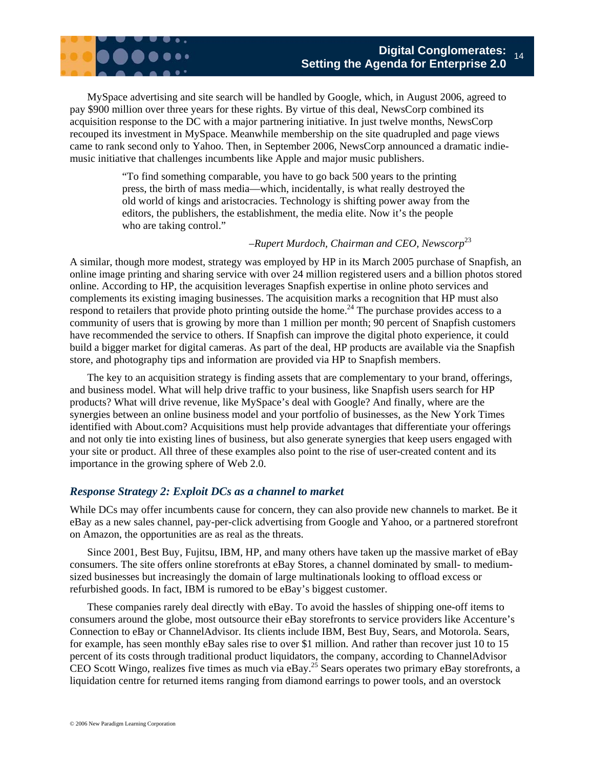

MySpace advertising and site search will be handled by Google, which, in August 2006, agreed to pay \$900 million over three years for these rights. By virtue of this deal, NewsCorp combined its acquisition response to the DC with a major partnering initiative. In just twelve months, NewsCorp recouped its investment in MySpace. Meanwhile membership on the site quadrupled and page views came to rank second only to Yahoo. Then, in September 2006, NewsCorp announced a dramatic indiemusic initiative that challenges incumbents like Apple and major music publishers.

> "To find something comparable, you have to go back 500 years to the printing press, the birth of mass media—which, incidentally, is what really destroyed the old world of kings and aristocracies. Technology is shifting power away from the editors, the publishers, the establishment, the media elite. Now it's the people who are taking control."

#### *–Rupert Murdoch, Chairman and CEO, Newscorp*<sup>23</sup>

A similar, though more modest, strategy was employed by HP in its March 2005 purchase of Snapfish, an online image printing and sharing service with over 24 million registered users and a billion photos stored online. According to HP, the acquisition leverages Snapfish expertise in online photo services and complements its existing imaging businesses. The acquisition marks a recognition that HP must also respond to retailers that provide photo printing outside the home.<sup>24</sup> The purchase provides access to a community of users that is growing by more than 1 million per month; 90 percent of Snapfish customers have recommended the service to others. If Snapfish can improve the digital photo experience, it could build a bigger market for digital cameras. As part of the deal, HP products are available via the Snapfish store, and photography tips and information are provided via HP to Snapfish members.

The key to an acquisition strategy is finding assets that are complementary to your brand, offerings, and business model. What will help drive traffic to your business, like Snapfish users search for HP products? What will drive revenue, like MySpace's deal with Google? And finally, where are the synergies between an online business model and your portfolio of businesses, as the New York Times identified with About.com? Acquisitions must help provide advantages that differentiate your offerings and not only tie into existing lines of business, but also generate synergies that keep users engaged with your site or product. All three of these examples also point to the rise of user-created content and its importance in the growing sphere of Web 2.0.

#### *Response Strategy 2: Exploit DCs as a channel to market*

While DCs may offer incumbents cause for concern, they can also provide new channels to market. Be it eBay as a new sales channel, pay-per-click advertising from Google and Yahoo, or a partnered storefront on Amazon, the opportunities are as real as the threats.

Since 2001, Best Buy, Fujitsu, IBM, HP, and many others have taken up the massive market of eBay consumers. The site offers online storefronts at eBay Stores, a channel dominated by small- to mediumsized businesses but increasingly the domain of large multinationals looking to offload excess or refurbished goods. In fact, IBM is rumored to be eBay's biggest customer.

These companies rarely deal directly with eBay. To avoid the hassles of shipping one-off items to consumers around the globe, most outsource their eBay storefronts to service providers like Accenture's Connection to eBay or ChannelAdvisor. Its clients include IBM, Best Buy, Sears, and Motorola. Sears, for example, has seen monthly eBay sales rise to over \$1 million. And rather than recover just 10 to 15 percent of its costs through traditional product liquidators, the company, according to ChannelAdvisor CEO Scott Wingo, realizes five times as much via eBay.<sup>25</sup> Sears operates two primary eBay storefronts, a liquidation centre for returned items ranging from diamond earrings to power tools, and an overstock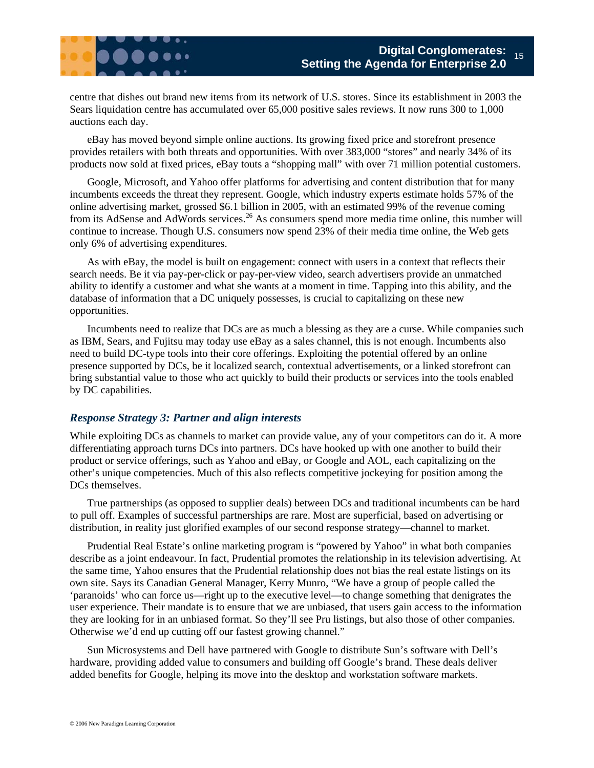centre that dishes out brand new items from its network of U.S. stores. Since its establishment in 2003 the Sears liquidation centre has accumulated over 65,000 positive sales reviews. It now runs 300 to 1,000 auctions each day.

eBay has moved beyond simple online auctions. Its growing fixed price and storefront presence provides retailers with both threats and opportunities. With over 383,000 "stores" and nearly 34% of its products now sold at fixed prices, eBay touts a "shopping mall" with over 71 million potential customers.

Google, Microsoft, and Yahoo offer platforms for advertising and content distribution that for many incumbents exceeds the threat they represent. Google, which industry experts estimate holds 57% of the online advertising market, grossed \$6.1 billion in 2005, with an estimated 99% of the revenue coming from its AdSense and AdWords services.<sup>26</sup> As consumers spend more media time online, this number will continue to increase. Though U.S. consumers now spend 23% of their media time online, the Web gets only 6% of advertising expenditures.

As with eBay, the model is built on engagement: connect with users in a context that reflects their search needs. Be it via pay-per-click or pay-per-view video, search advertisers provide an unmatched ability to identify a customer and what she wants at a moment in time. Tapping into this ability, and the database of information that a DC uniquely possesses, is crucial to capitalizing on these new opportunities.

Incumbents need to realize that DCs are as much a blessing as they are a curse. While companies such as IBM, Sears, and Fujitsu may today use eBay as a sales channel, this is not enough. Incumbents also need to build DC-type tools into their core offerings. Exploiting the potential offered by an online presence supported by DCs, be it localized search, contextual advertisements, or a linked storefront can bring substantial value to those who act quickly to build their products or services into the tools enabled by DC capabilities.

#### *Response Strategy 3: Partner and align interests*

While exploiting DCs as channels to market can provide value, any of your competitors can do it. A more differentiating approach turns DCs into partners. DCs have hooked up with one another to build their product or service offerings, such as Yahoo and eBay, or Google and AOL, each capitalizing on the other's unique competencies. Much of this also reflects competitive jockeying for position among the DCs themselves.

True partnerships (as opposed to supplier deals) between DCs and traditional incumbents can be hard to pull off. Examples of successful partnerships are rare. Most are superficial, based on advertising or distribution, in reality just glorified examples of our second response strategy—channel to market.

Prudential Real Estate's online marketing program is "powered by Yahoo" in what both companies describe as a joint endeavour. In fact, Prudential promotes the relationship in its television advertising. At the same time, Yahoo ensures that the Prudential relationship does not bias the real estate listings on its own site. Says its Canadian General Manager, Kerry Munro, "We have a group of people called the 'paranoids' who can force us—right up to the executive level—to change something that denigrates the user experience. Their mandate is to ensure that we are unbiased, that users gain access to the information they are looking for in an unbiased format. So they'll see Pru listings, but also those of other companies. Otherwise we'd end up cutting off our fastest growing channel."

Sun Microsystems and Dell have partnered with Google to distribute Sun's software with Dell's hardware, providing added value to consumers and building off Google's brand. These deals deliver added benefits for Google, helping its move into the desktop and workstation software markets.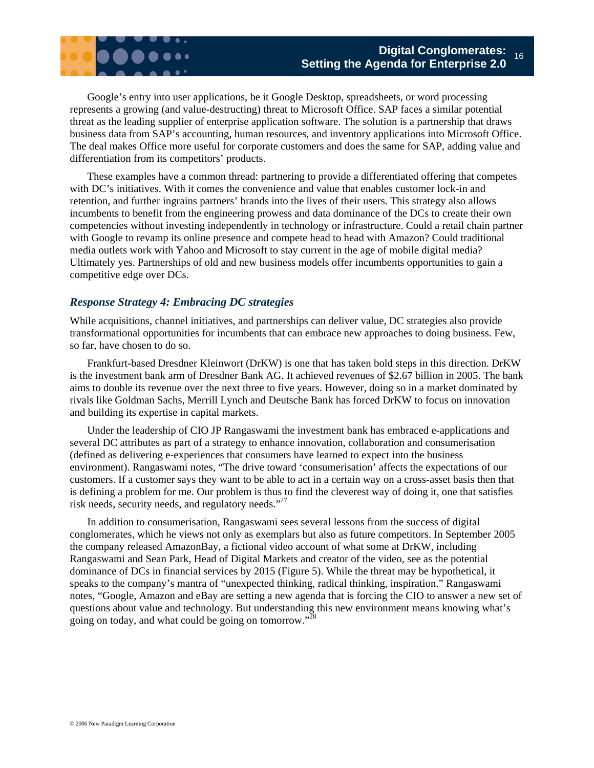

Google's entry into user applications, be it Google Desktop, spreadsheets, or word processing represents a growing (and value-destructing) threat to Microsoft Office. SAP faces a similar potential threat as the leading supplier of enterprise application software. The solution is a partnership that draws business data from SAP's accounting, human resources, and inventory applications into Microsoft Office. The deal makes Office more useful for corporate customers and does the same for SAP, adding value and differentiation from its competitors' products.

These examples have a common thread: partnering to provide a differentiated offering that competes with DC's initiatives. With it comes the convenience and value that enables customer lock-in and retention, and further ingrains partners' brands into the lives of their users. This strategy also allows incumbents to benefit from the engineering prowess and data dominance of the DCs to create their own competencies without investing independently in technology or infrastructure. Could a retail chain partner with Google to revamp its online presence and compete head to head with Amazon? Could traditional media outlets work with Yahoo and Microsoft to stay current in the age of mobile digital media? Ultimately yes. Partnerships of old and new business models offer incumbents opportunities to gain a competitive edge over DCs.

#### *Response Strategy 4: Embracing DC strategies*

While acquisitions, channel initiatives, and partnerships can deliver value, DC strategies also provide transformational opportunities for incumbents that can embrace new approaches to doing business. Few, so far, have chosen to do so.

Frankfurt-based Dresdner Kleinwort (DrKW) is one that has taken bold steps in this direction. DrKW is the investment bank arm of Dresdner Bank AG. It achieved revenues of \$2.67 billion in 2005. The bank aims to double its revenue over the next three to five years. However, doing so in a market dominated by rivals like Goldman Sachs, Merrill Lynch and Deutsche Bank has forced DrKW to focus on innovation and building its expertise in capital markets.

Under the leadership of CIO JP Rangaswami the investment bank has embraced e-applications and several DC attributes as part of a strategy to enhance innovation, collaboration and consumerisation (defined as delivering e-experiences that consumers have learned to expect into the business environment). Rangaswami notes, "The drive toward 'consumerisation' affects the expectations of our customers. If a customer says they want to be able to act in a certain way on a cross-asset basis then that is defining a problem for me. Our problem is thus to find the cleverest way of doing it, one that satisfies risk needs, security needs, and regulatory needs."27

In addition to consumerisation, Rangaswami sees several lessons from the success of digital conglomerates, which he views not only as exemplars but also as future competitors. In September 2005 the company released AmazonBay, a fictional video account of what some at DrKW, including Rangaswami and Sean Park, Head of Digital Markets and creator of the video, see as the potential dominance of DCs in financial services by 2015 (Figure 5). While the threat may be hypothetical, it speaks to the company's mantra of "unexpected thinking, radical thinking, inspiration." Rangaswami notes, "Google, Amazon and eBay are setting a new agenda that is forcing the CIO to answer a new set of questions about value and technology. But understanding this new environment means knowing what's going on today, and what could be going on tomorrow."28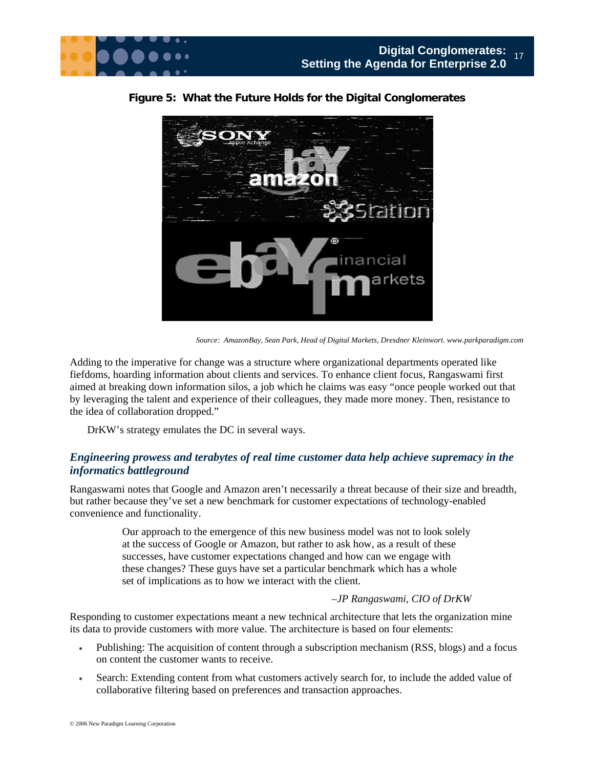



**Figure 5: What the Future Holds for the Digital Conglomerates** 

Adding to the imperative for change was a structure where organizational departments operated like fiefdoms, hoarding information about clients and services. To enhance client focus, Rangaswami first aimed at breaking down information silos, a job which he claims was easy "once people worked out that by leveraging the talent and experience of their colleagues, they made more money. Then, resistance to the idea of collaboration dropped."

DrKW's strategy emulates the DC in several ways.

#### *Engineering prowess and terabytes of real time customer data help achieve supremacy in the informatics battleground*

Rangaswami notes that Google and Amazon aren't necessarily a threat because of their size and breadth, but rather because they've set a new benchmark for customer expectations of technology-enabled convenience and functionality.

> Our approach to the emergence of this new business model was not to look solely at the success of Google or Amazon, but rather to ask how, as a result of these successes, have customer expectations changed and how can we engage with these changes? These guys have set a particular benchmark which has a whole set of implications as to how we interact with the client.

#### *–JP Rangaswami, CIO of DrKW*

Responding to customer expectations meant a new technical architecture that lets the organization mine its data to provide customers with more value. The architecture is based on four elements:

- Publishing: The acquisition of content through a subscription mechanism (RSS, blogs) and a focus on content the customer wants to receive.
- Search: Extending content from what customers actively search for, to include the added value of collaborative filtering based on preferences and transaction approaches.

*Source: AmazonBay, Sean Park, Head of Digital Markets, Dresdner Kleinwort. www.parkparadigm.com*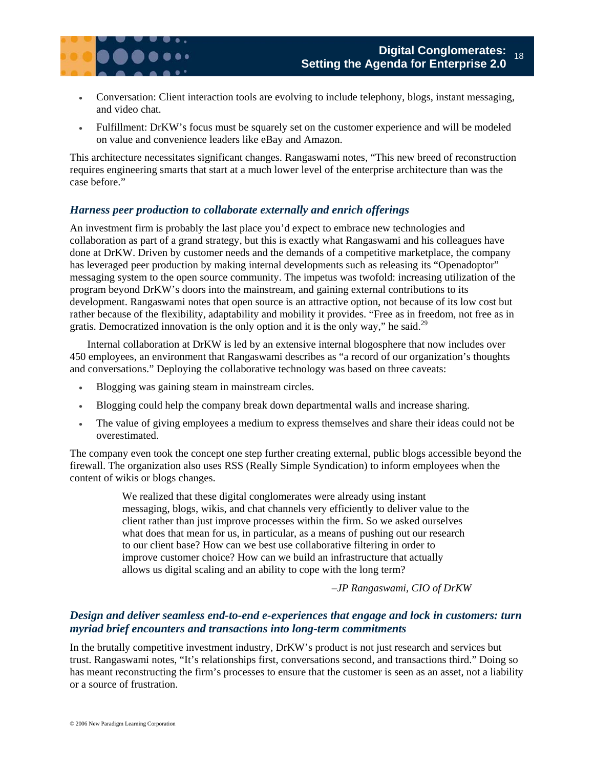

- Conversation: Client interaction tools are evolving to include telephony, blogs, instant messaging, and video chat.
- Fulfillment: DrKW's focus must be squarely set on the customer experience and will be modeled on value and convenience leaders like eBay and Amazon.

This architecture necessitates significant changes. Rangaswami notes, "This new breed of reconstruction requires engineering smarts that start at a much lower level of the enterprise architecture than was the case before."

#### *Harness peer production to collaborate externally and enrich offerings*

An investment firm is probably the last place you'd expect to embrace new technologies and collaboration as part of a grand strategy, but this is exactly what Rangaswami and his colleagues have done at DrKW. Driven by customer needs and the demands of a competitive marketplace, the company has leveraged peer production by making internal developments such as releasing its "Openadoptor" messaging system to the open source community. The impetus was twofold: increasing utilization of the program beyond DrKW's doors into the mainstream, and gaining external contributions to its development. Rangaswami notes that open source is an attractive option, not because of its low cost but rather because of the flexibility, adaptability and mobility it provides. "Free as in freedom, not free as in gratis. Democratized innovation is the only option and it is the only way," he said.<sup>29</sup>

Internal collaboration at DrKW is led by an extensive internal blogosphere that now includes over 450 employees, an environment that Rangaswami describes as "a record of our organization's thoughts and conversations." Deploying the collaborative technology was based on three caveats:

- Blogging was gaining steam in mainstream circles.
- Blogging could help the company break down departmental walls and increase sharing.
- The value of giving employees a medium to express themselves and share their ideas could not be overestimated.

The company even took the concept one step further creating external, public blogs accessible beyond the firewall. The organization also uses RSS (Really Simple Syndication) to inform employees when the content of wikis or blogs changes.

> We realized that these digital conglomerates were already using instant messaging, blogs, wikis, and chat channels very efficiently to deliver value to the client rather than just improve processes within the firm. So we asked ourselves what does that mean for us, in particular, as a means of pushing out our research to our client base? How can we best use collaborative filtering in order to improve customer choice? How can we build an infrastructure that actually allows us digital scaling and an ability to cope with the long term?

> > *–JP Rangaswami, CIO of DrKW*

#### *Design and deliver seamless end-to-end e-experiences that engage and lock in customers: turn myriad brief encounters and transactions into long-term commitments*

In the brutally competitive investment industry, DrKW's product is not just research and services but trust. Rangaswami notes, "It's relationships first, conversations second, and transactions third." Doing so has meant reconstructing the firm's processes to ensure that the customer is seen as an asset, not a liability or a source of frustration.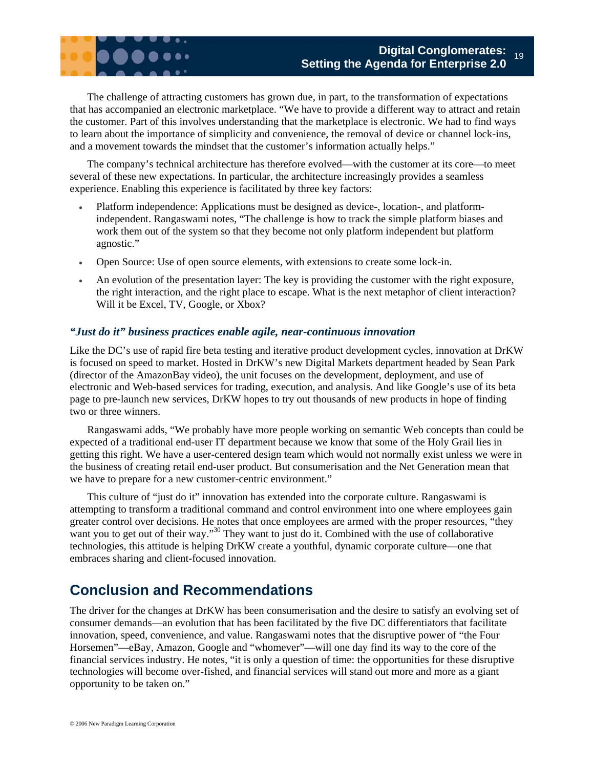

The challenge of attracting customers has grown due, in part, to the transformation of expectations that has accompanied an electronic marketplace. "We have to provide a different way to attract and retain the customer. Part of this involves understanding that the marketplace is electronic. We had to find ways to learn about the importance of simplicity and convenience, the removal of device or channel lock-ins, and a movement towards the mindset that the customer's information actually helps."

The company's technical architecture has therefore evolved—with the customer at its core—to meet several of these new expectations. In particular, the architecture increasingly provides a seamless experience. Enabling this experience is facilitated by three key factors:

- Platform independence: Applications must be designed as device-, location-, and platformindependent. Rangaswami notes, "The challenge is how to track the simple platform biases and work them out of the system so that they become not only platform independent but platform agnostic."
- Open Source: Use of open source elements, with extensions to create some lock-in.
- An evolution of the presentation layer: The key is providing the customer with the right exposure, the right interaction, and the right place to escape. What is the next metaphor of client interaction? Will it be Excel, TV, Google, or Xbox?

#### *"Just do it" business practices enable agile, near-continuous innovation*

Like the DC's use of rapid fire beta testing and iterative product development cycles, innovation at DrKW is focused on speed to market. Hosted in DrKW's new Digital Markets department headed by Sean Park (director of the AmazonBay video), the unit focuses on the development, deployment, and use of electronic and Web-based services for trading, execution, and analysis. And like Google's use of its beta page to pre-launch new services, DrKW hopes to try out thousands of new products in hope of finding two or three winners.

Rangaswami adds, "We probably have more people working on semantic Web concepts than could be expected of a traditional end-user IT department because we know that some of the Holy Grail lies in getting this right. We have a user-centered design team which would not normally exist unless we were in the business of creating retail end-user product. But consumerisation and the Net Generation mean that we have to prepare for a new customer-centric environment."

This culture of "just do it" innovation has extended into the corporate culture. Rangaswami is attempting to transform a traditional command and control environment into one where employees gain greater control over decisions. He notes that once employees are armed with the proper resources, "they want you to get out of their way."<sup>30</sup> They want to just do it. Combined with the use of collaborative technologies, this attitude is helping DrKW create a youthful, dynamic corporate culture—one that embraces sharing and client-focused innovation.

## **Conclusion and Recommendations**

The driver for the changes at DrKW has been consumerisation and the desire to satisfy an evolving set of consumer demands—an evolution that has been facilitated by the five DC differentiators that facilitate innovation, speed, convenience, and value. Rangaswami notes that the disruptive power of "the Four Horsemen"—eBay, Amazon, Google and "whomever"—will one day find its way to the core of the financial services industry. He notes, "it is only a question of time: the opportunities for these disruptive technologies will become over-fished, and financial services will stand out more and more as a giant opportunity to be taken on."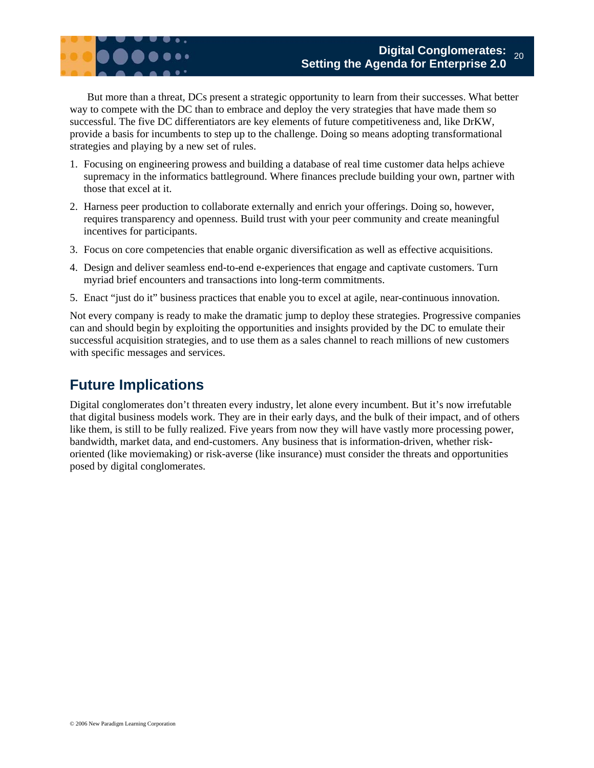

But more than a threat, DCs present a strategic opportunity to learn from their successes. What better way to compete with the DC than to embrace and deploy the very strategies that have made them so successful. The five DC differentiators are key elements of future competitiveness and, like DrKW, provide a basis for incumbents to step up to the challenge. Doing so means adopting transformational strategies and playing by a new set of rules.

- 1. Focusing on engineering prowess and building a database of real time customer data helps achieve supremacy in the informatics battleground. Where finances preclude building your own, partner with those that excel at it.
- 2. Harness peer production to collaborate externally and enrich your offerings. Doing so, however, requires transparency and openness. Build trust with your peer community and create meaningful incentives for participants.
- 3. Focus on core competencies that enable organic diversification as well as effective acquisitions.
- 4. Design and deliver seamless end-to-end e-experiences that engage and captivate customers. Turn myriad brief encounters and transactions into long-term commitments.
- 5. Enact "just do it" business practices that enable you to excel at agile, near-continuous innovation.

Not every company is ready to make the dramatic jump to deploy these strategies. Progressive companies can and should begin by exploiting the opportunities and insights provided by the DC to emulate their successful acquisition strategies, and to use them as a sales channel to reach millions of new customers with specific messages and services.

## **Future Implications**

Digital conglomerates don't threaten every industry, let alone every incumbent. But it's now irrefutable that digital business models work. They are in their early days, and the bulk of their impact, and of others like them, is still to be fully realized. Five years from now they will have vastly more processing power, bandwidth, market data, and end-customers. Any business that is information-driven, whether riskoriented (like moviemaking) or risk-averse (like insurance) must consider the threats and opportunities posed by digital conglomerates.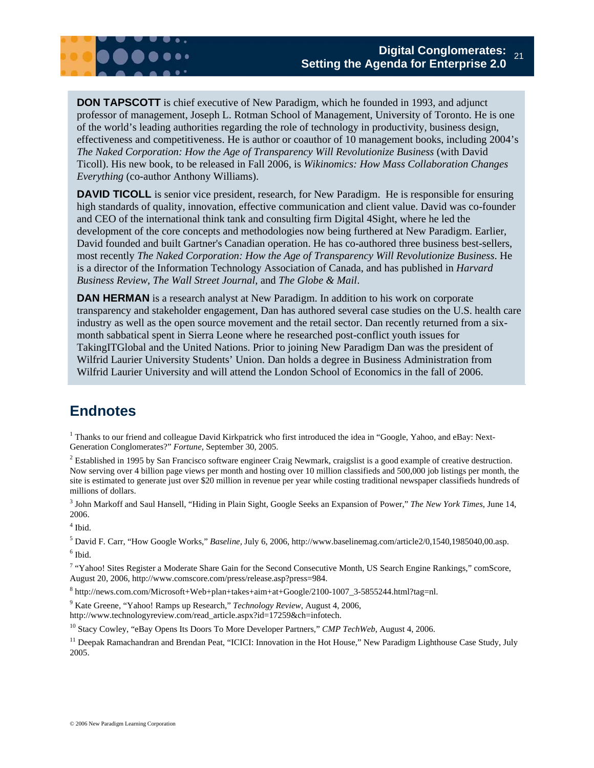

**DON TAPSCOTT** is chief executive of New Paradigm, which he founded in 1993, and adjunct professor of management, Joseph L. Rotman School of Management, University of Toronto. He is one of the world's leading authorities regarding the role of technology in productivity, business design, effectiveness and competitiveness. He is author or coauthor of 10 management books, including 2004's *The Naked Corporation: How the Age of Transparency Will Revolutionize Business* (with David Ticoll). His new book, to be released in Fall 2006, is *Wikinomics: How Mass Collaboration Changes Everything* (co-author Anthony Williams).

**DAVID TICOLL** is senior vice president, research, for New Paradigm. He is responsible for ensuring high standards of quality, innovation, effective communication and client value. David was co-founder and CEO of the international think tank and consulting firm Digital 4Sight, where he led the development of the core concepts and methodologies now being furthered at New Paradigm. Earlier, David founded and built Gartner's Canadian operation. He has co-authored three business best-sellers, most recently *The Naked Corporation: How the Age of Transparency Will Revolutionize Business*. He is a director of the Information Technology Association of Canada, and has published in *Harvard Business Review*, *The Wall Street Journal*, and *The Globe & Mail*.

**DAN HERMAN** is a research analyst at New Paradigm. In addition to his work on corporate transparency and stakeholder engagement, Dan has authored several case studies on the U.S. health care industry as well as the open source movement and the retail sector. Dan recently returned from a sixmonth sabbatical spent in Sierra Leone where he researched post-conflict youth issues for TakingITGlobal and the United Nations. Prior to joining New Paradigm Dan was the president of Wilfrid Laurier University Students' Union. Dan holds a degree in Business Administration from Wilfrid Laurier University and will attend the London School of Economics in the fall of 2006.

## **Endnotes**

<sup>1</sup> Thanks to our friend and colleague David Kirkpatrick who first introduced the idea in "Google, Yahoo, and eBay: Next-Generation Conglomerates?" *Fortune*, September 30, 2005.

 $<sup>2</sup>$  Established in 1995 by San Francisco software engineer Craig Newmark, craigslist is a good example of creative destruction.</sup> Now serving over 4 billion page views per month and hosting over 10 million classifieds and 500,000 job listings per month, the site is estimated to generate just over \$20 million in revenue per year while costing traditional newspaper classifieds hundreds of millions of dollars.

3 John Markoff and Saul Hansell, "Hiding in Plain Sight, Google Seeks an Expansion of Power," *The New York Times*, June 14, 2006.

4 Ibid.

5 David F. Carr, "How Google Works," *Baseline,* July 6, 2006, http://www.baselinemag.com/article2/0,1540,1985040,00.asp.  $^6$  Ibid.

<sup>7</sup> "Yahoo! Sites Register a Moderate Share Gain for the Second Consecutive Month, US Search Engine Rankings," comScore, August 20, 2006, http://www.comscore.com/press/release.asp?press=984.

8 http://news.com.com/Microsoft+Web+plan+takes+aim+at+Google/2100-1007\_3-5855244.html?tag=nl.

9 Kate Greene, "Yahoo! Ramps up Research," *Technology Review*, August 4, 2006, http://www.technologyreview.com/read\_article.aspx?id=17259&ch=infotech.

10 Stacy Cowley, "eBay Opens Its Doors To More Developer Partners," *CMP TechWeb*, August 4, 2006.

<sup>11</sup> Deepak Ramachandran and Brendan Peat, "ICICI: Innovation in the Hot House," New Paradigm Lighthouse Case Study, July 2005.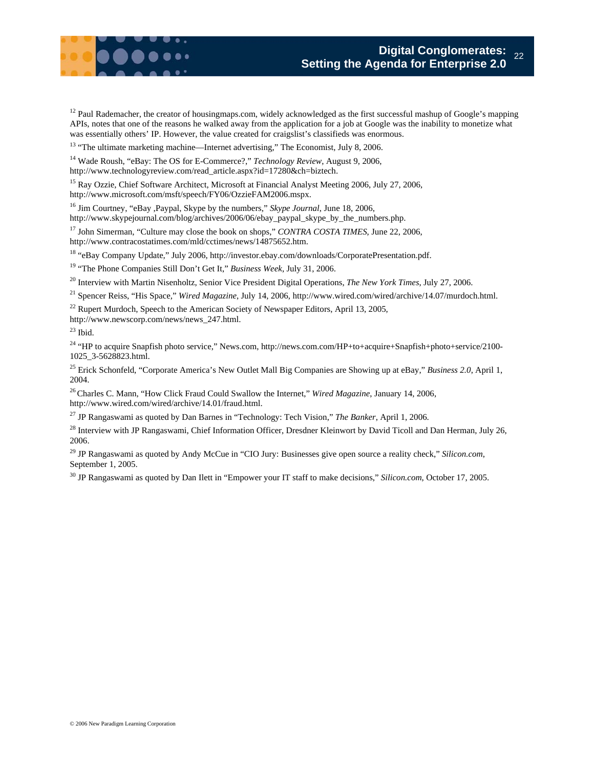$12$  Paul Rademacher, the creator of housingmaps.com, widely acknowledged as the first successful mashup of Google's mapping APIs, notes that one of the reasons he walked away from the application for a job at Google was the inability to monetize what was essentially others' IP. However, the value created for craigslist's classifieds was enormous.

<sup>13</sup> "The ultimate marketing machine—Internet advertising," The Economist, July 8, 2006.

14 Wade Roush, "eBay: The OS for E-Commerce?," *Technology Review*, August 9, 2006, http://www.technologyreview.com/read\_article.aspx?id=17280&ch=biztech.

<sup>15</sup> Ray Ozzie, Chief Software Architect, Microsoft at Financial Analyst Meeting 2006, July 27, 2006, http://www.microsoft.com/msft/speech/FY06/OzzieFAM2006.mspx.

16 Jim Courtney, "eBay ,Paypal, Skype by the numbers," *Skype Journal*, June 18, 2006, http://www.skypejournal.com/blog/archives/2006/06/ebay\_paypal\_skype\_by\_the\_numbers.php.

<sup>17</sup> John Simerman, "Culture may close the book on shops," *CONTRA COSTA TIMES*, June 22, 2006, http://www.contracostatimes.com/mld/cctimes/news/14875652.htm.

18 "eBay Company Update*,*" July 2006, http://investor.ebay.com/downloads/CorporatePresentation.pdf.

19 "The Phone Companies Still Don't Get It," *Business Week*, July 31, 2006.

20 Interview with Martin Nisenholtz, Senior Vice President Digital Operations, *The New York Times*, July 27, 2006.

21 Spencer Reiss, "His Space*,*" *Wired Magazine*, July 14, 2006, http://www.wired.com/wired/archive/14.07/murdoch.html.

 $22$  Rupert Murdoch, Speech to the American Society of Newspaper Editors, April 13, 2005,

http://www.newscorp.com/news/news\_247.html.

 $23$  Ibid.

<sup>24</sup> "HP to acquire Snapfish photo service," News.com, http://news.com.com/HP+to+acquire+Snapfish+photo+service/2100-1025\_3-5628823.html.

25 Erick Schonfeld, "Corporate America's New Outlet Mall Big Companies are Showing up at eBay," *Business 2.0*, April 1, 2004.

26 Charles C. Mann, "How Click Fraud Could Swallow the Internet," *Wired Magazine*, January 14, 2006, http://www.wired.com/wired/archive/14.01/fraud.html.

27 JP Rangaswami as quoted by Dan Barnes in "Technology: Tech Vision," *The Banker*, April 1, 2006.

<sup>28</sup> Interview with JP Rangaswami, Chief Information Officer, Dresdner Kleinwort by David Ticoll and Dan Herman, July 26, 2006.

29 JP Rangaswami as quoted by Andy McCue in "CIO Jury: Businesses give open source a reality check," *Silicon.com*, September 1, 2005.

30 JP Rangaswami as quoted by Dan Ilett in "Empower your IT staff to make decisions," *Silicon.com*, October 17, 2005.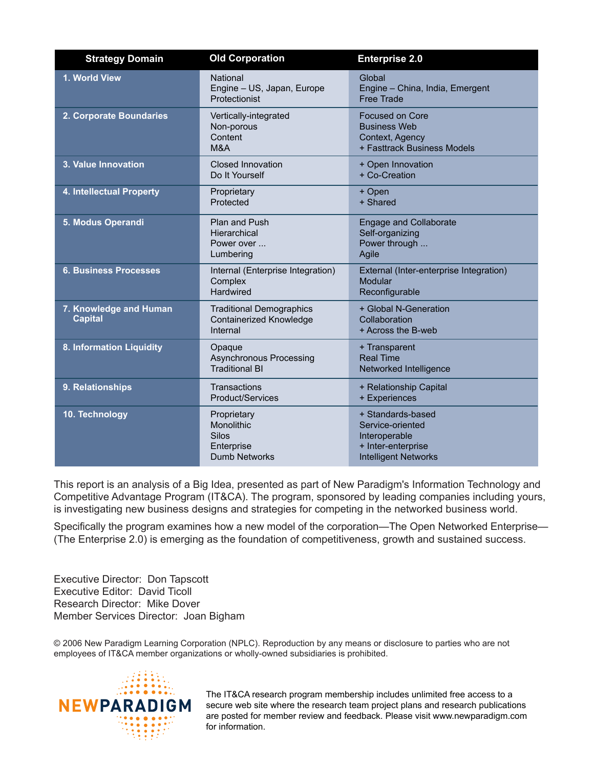| <b>Strategy Domain</b>                   | <b>Old Corporation</b>                                                                 | <b>Enterprise 2.0</b>                                                                                       |
|------------------------------------------|----------------------------------------------------------------------------------------|-------------------------------------------------------------------------------------------------------------|
| 1. World View                            | <b>National</b><br>Engine - US, Japan, Europe<br>Protectionist                         | Global<br>Engine - China, India, Emergent<br><b>Free Trade</b>                                              |
| 2. Corporate Boundaries                  | Vertically-integrated<br>Non-porous<br>Content<br>M&A                                  | <b>Focused on Core</b><br><b>Business Web</b><br>Context, Agency<br>+ Fasttrack Business Models             |
| 3. Value Innovation                      | <b>Closed Innovation</b><br>Do It Yourself                                             | + Open Innovation<br>+ Co-Creation                                                                          |
| 4. Intellectual Property                 | Proprietary<br>Protected                                                               | + Open<br>+ Shared                                                                                          |
| 5. Modus Operandi                        | <b>Plan and Push</b><br>Hierarchical<br>Power over<br>Lumbering                        | <b>Engage and Collaborate</b><br>Self-organizing<br>Power through<br>Agile                                  |
| <b>6. Business Processes</b>             | Internal (Enterprise Integration)<br>Complex<br>Hardwired                              | External (Inter-enterprise Integration)<br>Modular<br>Reconfigurable                                        |
| 7. Knowledge and Human<br><b>Capital</b> | <b>Traditional Demographics</b><br><b>Containerized Knowledge</b><br>Internal          | + Global N-Generation<br>Collaboration<br>+ Across the B-web                                                |
| 8. Information Liquidity                 | Opaque<br><b>Asynchronous Processing</b><br><b>Traditional BI</b>                      | + Transparent<br><b>Real Time</b><br>Networked Intelligence                                                 |
| 9. Relationships                         | Transactions<br>Product/Services                                                       | + Relationship Capital<br>+ Experiences                                                                     |
| 10. Technology                           | Proprietary<br><b>Monolithic</b><br><b>Silos</b><br>Enterprise<br><b>Dumb Networks</b> | + Standards-based<br>Service-oriented<br>Interoperable<br>+ Inter-enterprise<br><b>Intelligent Networks</b> |

This report is an analysis of a Big Idea, presented as part of New Paradigm's Information Technology and Competitive Advantage Program (IT&CA). The program, sponsored by leading companies including yours, is investigating new business designs and strategies for competing in the networked business world.

Specifically the program examines how a new model of the corporation—The Open Networked Enterprise— (The Enterprise 2.0) is emerging as the foundation of competitiveness, growth and sustained success.

Executive Director: Don Tapscott Executive Editor: David Ticoll Research Director: Mike Dover Member Services Director: Joan Bigham

© 2006 New Paradigm Learning Corporation (NPLC). Reproduction by any means or disclosure to parties who are not employees of IT&CA member organizations or wholly-owned subsidiaries is prohibited.



The IT&CA research program membership includes unlimited free access to a secure web site where the research team project plans and research publications are posted for member review and feedback. Please visit www.newparadigm.com for information.